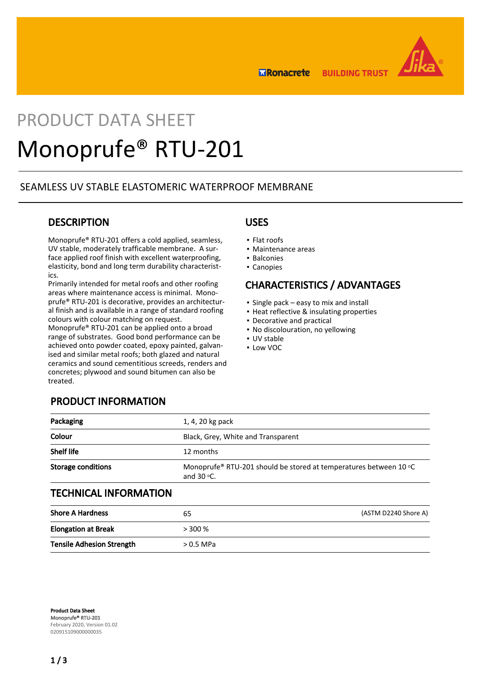

**BUILDING TRUST ERonacrete** 

# PRODUCT DATA SHEET Monoprufe® RTU-201

## SEAMLESS UV STABLE ELASTOMERIC WATERPROOF MEMBRANE

## **DESCRIPTION**

Monoprufe® RTU-201 offers a cold applied, seamless, UV stable, moderately trafficable membrane. A surface applied roof finish with excellent waterproofing, elasticity, bond and long term durability characteristics.

Primarily intended for metal roofs and other roofing areas where maintenance access is minimal. Monoprufe® RTU-201 is decorative, provides an architectural finish and is available in a range of standard roofing colours with colour matching on request.

Monoprufe® RTU-201 can be applied onto a broad range of substrates. Good bond performance can be achieved onto powder coated, epoxy painted, galvanised and similar metal roofs; both glazed and natural ceramics and sound cementitious screeds, renders and concretes; plywood and sound bitumen can also be treated.

### USES

- Flat roofs
- Maintenance areas
- Balconies
- Canopies

## CHARACTERISTICS / ADVANTAGES

- Single pack easy to mix and install
- Heat reflective & insulating properties
- Decorative and practical
- No discolouration, no yellowing
- UV stable
- Low VOC

|  | <b>PRODUCT INFORMATION</b> |  |
|--|----------------------------|--|
|  |                            |  |

| Packaging                    | 1, 4, 20 kg pack                                                                           |  |
|------------------------------|--------------------------------------------------------------------------------------------|--|
| Colour                       | Black, Grey, White and Transparent                                                         |  |
| <b>Shelf life</b>            | 12 months                                                                                  |  |
| <b>Storage conditions</b>    | Monoprufe® RTU-201 should be stored at temperatures between 10 °C<br>and $30$ $\degree$ C. |  |
| <b>TECHNICAL INFORMATION</b> |                                                                                            |  |
| <b>Shore A Hardness</b>      | (ASTM D2240 Shore A)<br>65                                                                 |  |

| _ _ . _ _ _ _ .            | ັບ        | ,,,,,,,, |
|----------------------------|-----------|----------|
| <b>Elongation at Break</b> | $>$ 300 % |          |
| Tensile Adhesion Strength  | > 0.5 MPa |          |

Product Data Sheet Monoprufe® RTU-201 February 2020, Version 01.02 020915109000000035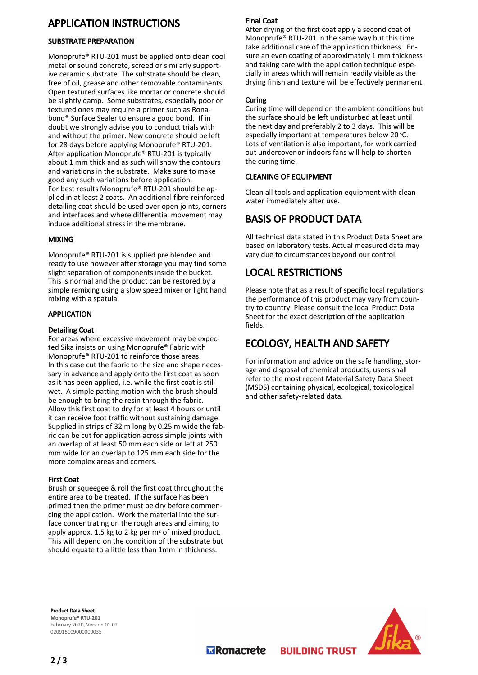## APPLICATION INSTRUCTIONS

#### SUBSTRATE PREPARATION

Monoprufe® RTU-201 must be applied onto clean cool metal or sound concrete, screed or similarly supportive ceramic substrate. The substrate should be clean, free of oil, grease and other removable contaminents. Open textured surfaces like mortar or concrete should be slightly damp. Some substrates, especially poor or textured ones may require a primer such as Ronabond® Surface Sealer to ensure a good bond. If in doubt we strongly advise you to conduct trials with and without the primer. New concrete should be left for 28 days before applying Monoprufe® RTU-201. After application Monoprufe® RTU-201 is typically about 1 mm thick and as such will show the contours and variations in the substrate. Make sure to make good any such variations before application. For best results Monoprufe® RTU-201 should be applied in at least 2 coats. An additional fibre reinforced detailing coat should be used over open joints, corners and interfaces and where differential movement may induce additional stress in the membrane.

#### MIXING

Monoprufe® RTU-201 is supplied pre blended and ready to use however after storage you may find some slight separation of components inside the bucket. This is normal and the product can be restored by a simple remixing using a slow speed mixer or light hand mixing with a spatula.

#### APPLICATION

#### Detailing Coat

For areas where excessive movement may be expected Sika insists on using Monoprufe® Fabric with Monoprufe® RTU-201 to reinforce those areas. In this case cut the fabric to the size and shape necessary in advance and apply onto the first coat as soon as it has been applied, i.e. while the first coat is still wet. A simple patting motion with the brush should be enough to bring the resin through the fabric. Allow this first coat to dry for at least 4 hours or until it can receive foot traffic without sustaining damage. Supplied in strips of 32 m long by 0.25 m wide the fabric can be cut for application across simple joints with an overlap of at least 50 mm each side or left at 250 mm wide for an overlap to 125 mm each side for the more complex areas and corners.

#### First Coat

Brush or squeegee & roll the first coat throughout the entire area to be treated. If the surface has been primed then the primer must be dry before commencing the application. Work the material into the surface concentrating on the rough areas and aiming to apply approx. 1.5 kg to 2 kg per m2 of mixed product. This will depend on the condition of the substrate but should equate to a little less than 1mm in thickness.

#### Final Coat

After drying of the first coat apply a second coat of Monoprufe® RTU-201 in the same way but this time take additional care of the application thickness. Ensure an even coating of approximately 1 mm thickness and taking care with the application technique especially in areas which will remain readily visible as the drying finish and texture will be effectively permanent.

#### Curing

Curing time will depend on the ambient conditions but the surface should be left undisturbed at least until the next day and preferably 2 to 3 days. This will be especially important at temperatures below 20 °C. Lots of ventilation is also important, for work carried out undercover or indoors fans will help to shorten the curing time.

#### CLEANING OF EQUIPMENT

Clean all tools and application equipment with clean water immediately after use.

## BASIS OF PRODUCT DATA

All technical data stated in this Product Data Sheet are based on laboratory tests. Actual measured data may vary due to circumstances beyond our control.

## LOCAL RESTRICTIONS

Please note that as a result of specific local regulations the performance of this product may vary from country to country. Please consult the local Product Data Sheet for the exact description of the application fields.

# ECOLOGY, HEALTH AND SAFETY

**BUILDING TRUST** 

For information and advice on the safe handling, storage and disposal of chemical products, users shall refer to the most recent Material Safety Data Sheet (MSDS) containing physical, ecological, toxicological and other safety-related data.

Product Data Sheet Monoprufe® RTU-201 February 2020, Version 01.02 020915109000000035



**Transporter**